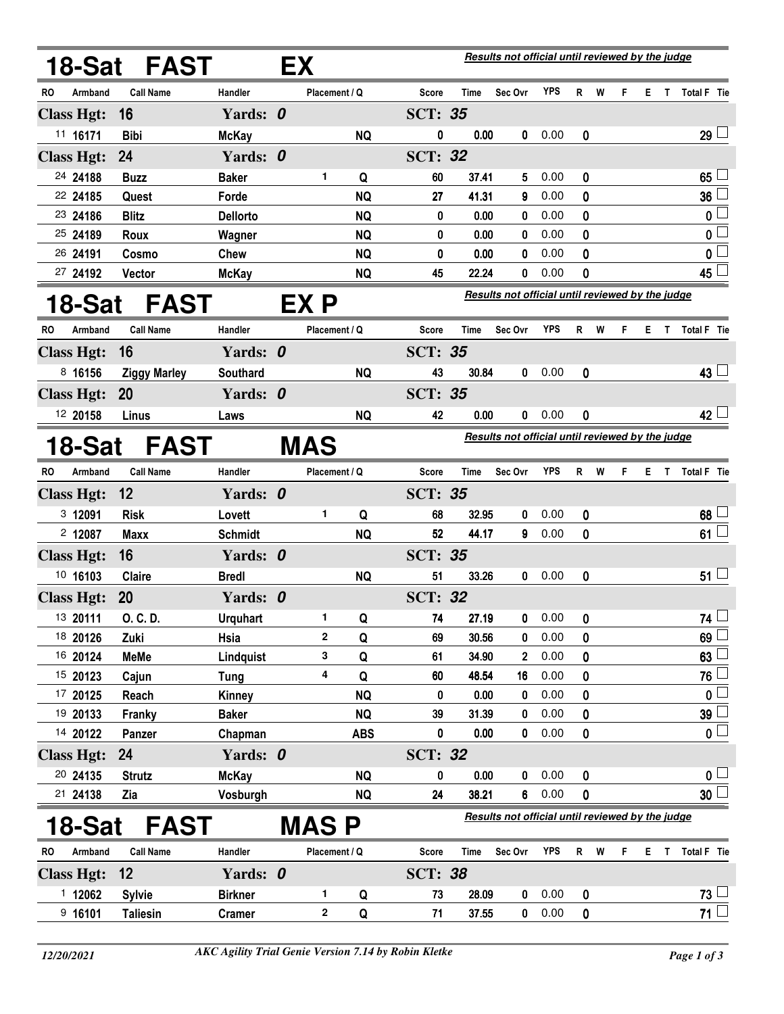| 18-Sat FAST                                        |                              |                     |                 | EX         |               |                                                  | Results not official until reviewed by the judge |             |                                                  |            |              |   |   |    |              |                         |
|----------------------------------------------------|------------------------------|---------------------|-----------------|------------|---------------|--------------------------------------------------|--------------------------------------------------|-------------|--------------------------------------------------|------------|--------------|---|---|----|--------------|-------------------------|
| RO                                                 | Armband                      | <b>Call Name</b>    | Handler         |            | Placement / Q |                                                  | <b>Score</b>                                     | <b>Time</b> | Sec Ovr                                          | <b>YPS</b> | R            | W | F | E. | T.           | <b>Total F</b> Tie      |
|                                                    | <b>Class Hgt:</b>            | 16                  | Yards: 0        |            |               |                                                  | <b>SCT: 35</b>                                   |             |                                                  |            |              |   |   |    |              |                         |
|                                                    | 11 16171                     | <b>Bibi</b>         | <b>McKay</b>    |            |               | <b>NQ</b>                                        | 0                                                | 0.00        | 0                                                | 0.00       | 0            |   |   |    |              | $29\perp$               |
|                                                    | <b>Class Hgt:</b>            | 24                  | Yards: 0        |            |               |                                                  | <b>SCT: 32</b>                                   |             |                                                  |            |              |   |   |    |              |                         |
|                                                    | 24 24188                     | <b>Buzz</b>         | <b>Baker</b>    |            | 1             | Q                                                | 60                                               | 37.41       | 5                                                | 0.00       | 0            |   |   |    |              | 65                      |
|                                                    | 22 24185                     | Quest               | Forde           |            |               | <b>NQ</b>                                        | 27                                               | 41.31       | 9                                                | 0.00       | 0            |   |   |    |              | 36                      |
|                                                    | 23 24186                     | <b>Blitz</b>        | <b>Dellorto</b> |            |               | <b>NQ</b>                                        | 0                                                | 0.00        | 0                                                | 0.00       | 0            |   |   |    |              | 0                       |
|                                                    | 25 24189                     | Roux                | Wagner          |            |               | <b>NQ</b>                                        | 0                                                | 0.00        | 0                                                | 0.00       | 0            |   |   |    |              | 0 <sup>1</sup>          |
|                                                    | 26 24191                     | Cosmo               | Chew            |            |               | <b>NQ</b>                                        | 0                                                | 0.00        | 0                                                | 0.00       | 0            |   |   |    |              | 0                       |
|                                                    | 27 24192                     | <b>Vector</b>       | <b>McKay</b>    |            |               | <b>NQ</b>                                        | 45                                               | 22.24       | 0                                                | 0.00       | 0            |   |   |    |              | 45                      |
| 18-Sat<br><b>FAST</b>                              |                              |                     |                 |            | EX P          |                                                  |                                                  |             | Results not official until reviewed by the judge |            |              |   |   |    |              |                         |
| RO.                                                | Armband                      | <b>Call Name</b>    | Handler         |            | Placement / Q |                                                  | <b>Score</b>                                     | Time        | Sec Ovr                                          | <b>YPS</b> | R            | W | F | E. | T.           | Total F Tie             |
|                                                    | <b>Class Hgt:</b>            | 16                  | Yards: 0        |            |               |                                                  | <b>SCT: 35</b>                                   |             |                                                  |            |              |   |   |    |              |                         |
|                                                    | 8 16156                      | <b>Ziggy Marley</b> | Southard        |            |               | <b>NQ</b>                                        | 43                                               | 30.84       | 0                                                | 0.00       | 0            |   |   |    |              | $43\perp$               |
|                                                    | <b>Class Hgt:</b>            | <b>20</b>           | Yards: 0        |            |               |                                                  | <b>SCT: 35</b>                                   |             |                                                  |            |              |   |   |    |              |                         |
|                                                    | 12 20158                     | Linus               | Laws            |            |               | <b>NQ</b>                                        | 42                                               | 0.00        | 0                                                | 0.00       | 0            |   |   |    |              | $42\perp$               |
|                                                    |                              | <b>FAST</b>         |                 | <b>MAS</b> |               | Results not official until reviewed by the judge |                                                  |             |                                                  |            |              |   |   |    |              |                         |
| 18-Sat<br>Handler<br><b>RO</b><br><b>Call Name</b> |                              |                     |                 |            | Placement / Q |                                                  | <b>Score</b>                                     | <b>Time</b> | Sec Ovr                                          | <b>YPS</b> | R            | W | F | E. | $\mathbf{T}$ | Total F Tie             |
|                                                    | Armband<br><b>Class Hgt:</b> | 12                  | Yards: 0        |            |               |                                                  | <b>SCT: 35</b>                                   |             |                                                  |            |              |   |   |    |              |                         |
|                                                    | 3 12091                      | <b>Risk</b>         | Lovett          |            | 1             | Q                                                | 68                                               | 32.95       | 0                                                | 0.00       | 0            |   |   |    |              | 68                      |
|                                                    | 2 12087                      | Maxx                | <b>Schmidt</b>  |            |               | <b>NQ</b>                                        | 52                                               | 44.17       | 9                                                | 0.00       | 0            |   |   |    |              | 61 <sup>1</sup>         |
|                                                    | <b>Class Hgt:</b>            | 16                  | Yards: 0        |            |               |                                                  | <b>SCT: 35</b>                                   |             |                                                  |            |              |   |   |    |              |                         |
|                                                    | 10 16103                     | Claire              | <b>Bredl</b>    |            |               | <b>NQ</b>                                        | 51                                               | 33.26       | 0                                                | 0.00       | 0            |   |   |    |              | $51\perp$               |
|                                                    | <b>Class Hgt:</b>            | 20                  | Yards: 0        |            |               |                                                  | <b>SCT: 32</b>                                   |             |                                                  |            |              |   |   |    |              |                         |
|                                                    | 13 20111                     | O. C. D.            | <b>Urquhart</b> |            | 1             | Q                                                | 74                                               | 27.19       | 0                                                | 0.00       | 0            |   |   |    |              | 74 $\lfloor$            |
|                                                    | 18 20126                     | Zuki                | Hsia            |            | 2             | Q                                                | 69                                               | 30.56       | 0                                                | 0.00       | 0            |   |   |    |              | 69                      |
|                                                    | 16 20124                     | MeMe                | Lindquist       |            | 3             | Q                                                | 61                                               | 34.90       | $\mathbf 2$                                      | 0.00       | 0            |   |   |    |              | 63                      |
|                                                    | 15 20123                     | Cajun               | <b>Tung</b>     |            | 4             | Q                                                | 60                                               | 48.54       | 16                                               | 0.00       | 0            |   |   |    |              | 76 <sup>∣</sup>         |
|                                                    | 17 20125                     | Reach               | <b>Kinney</b>   |            |               | <b>NQ</b>                                        | 0                                                | 0.00        | 0                                                | 0.00       | 0            |   |   |    |              | 0 L                     |
|                                                    | 19 20133                     | Franky              | <b>Baker</b>    |            |               | <b>NQ</b>                                        | 39                                               | 31.39       | 0                                                | 0.00       | 0            |   |   |    |              | $39 -$                  |
|                                                    | 14 20122                     | Panzer              | Chapman         |            |               | <b>ABS</b>                                       | 0                                                | 0.00        | 0                                                | 0.00       | 0            |   |   |    |              | $\overline{\mathbf{0}}$ |
|                                                    | <b>Class Hgt:</b>            | 24                  | Yards: 0        |            |               |                                                  | <b>SCT: 32</b>                                   |             |                                                  |            |              |   |   |    |              |                         |
|                                                    | 20 24135                     | <b>Strutz</b>       | <b>McKay</b>    |            |               | <b>NQ</b>                                        | 0                                                | 0.00        | 0                                                | 0.00       | 0            |   |   |    |              | 0 <sub>0</sub>          |
|                                                    | 21 24138                     | Zia                 | Vosburgh        |            |               | <b>NQ</b>                                        | 24                                               | 38.21       | 6                                                | 0.00       | $\bf{0}$     |   |   |    |              | 30 <sup>1</sup>         |
|                                                    | 18-Sat                       | <b>FAST</b>         |                 |            | MAS P         |                                                  |                                                  |             | Results not official until reviewed by the judge |            |              |   |   |    |              |                         |
| <b>RO</b>                                          | Armband                      | <b>Call Name</b>    | Handler         |            | Placement / Q |                                                  | <b>Score</b>                                     | Time        | Sec Ovr                                          | <b>YPS</b> | $\mathsf{R}$ | W | F | E. |              | T Total F Tie           |
|                                                    | <b>Class Hgt:</b>            | 12                  | Yards: 0        |            |               |                                                  | <b>SCT: 38</b>                                   |             |                                                  |            |              |   |   |    |              |                         |
|                                                    | 112062                       | <b>Sylvie</b>       | <b>Birkner</b>  |            | 1             | Q                                                | 73                                               | 28.09       | $\mathbf{0}$                                     | 0.00       | 0            |   |   |    |              | $73 \Box$               |

<sup>9</sup> 16101 Taliesin Cramer **<sup>2</sup>** Q 71 37.55 0 37.55 0.00 0 71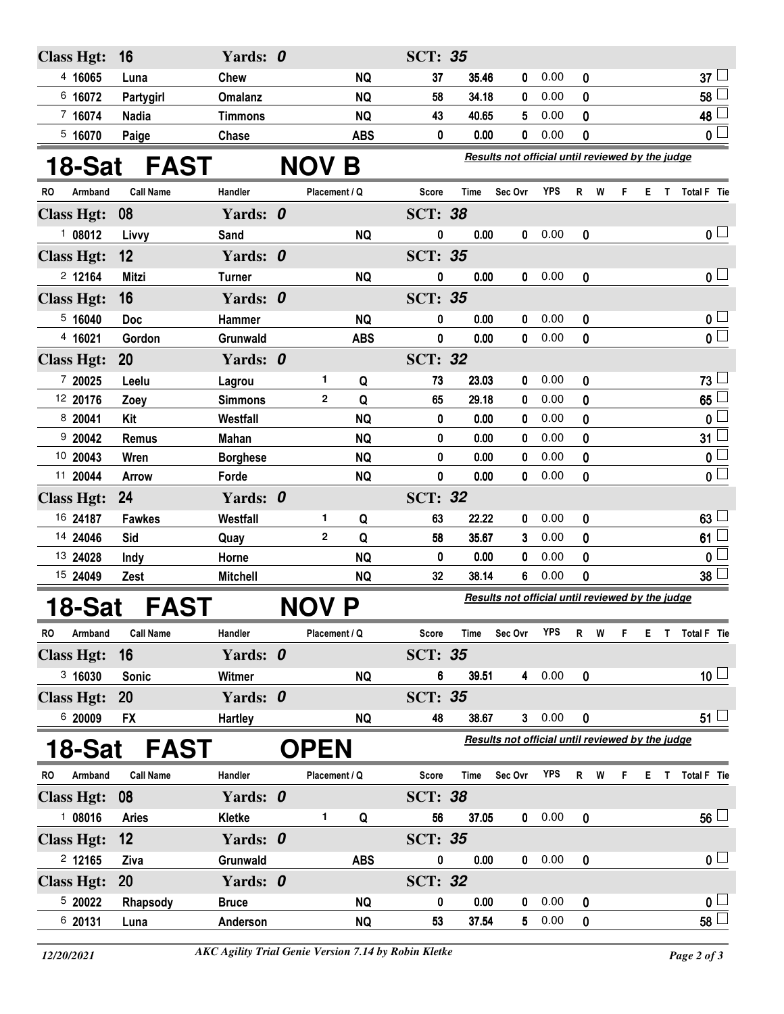| <b>Class Hgt:</b>                    | 16                | Yards: 0        |  |               |                                                  | <b>SCT: 35</b> |                                                  |                                                  |            |       |    |    |    |                         |  |
|--------------------------------------|-------------------|-----------------|--|---------------|--------------------------------------------------|----------------|--------------------------------------------------|--------------------------------------------------|------------|-------|----|----|----|-------------------------|--|
| 4 16065                              | Luna              | <b>Chew</b>     |  |               | <b>NQ</b>                                        | 37             | 35.46                                            | 0                                                | 0.00       | 0     |    |    |    | 37                      |  |
| 6 16072                              | Partygirl         | <b>Omalanz</b>  |  |               | <b>NQ</b>                                        | 58             | 34.18                                            | 0                                                | 0.00       | 0     |    |    |    | 58                      |  |
| 7 16074                              | <b>Nadia</b>      | <b>Timmons</b>  |  |               | <b>NQ</b>                                        | 43             | 40.65                                            | 5                                                | 0.00       | 0     |    |    |    | 48                      |  |
| 5,16070                              | Paige             | Chase           |  |               | <b>ABS</b>                                       | 0              | 0.00                                             | 0                                                | 0.00       | 0     |    |    |    | 0 <sup>1</sup>          |  |
| 18-Sat                               | <b>FAST</b>       |                 |  | <b>NOV</b>    | Β                                                |                | Results not official until reviewed by the judge |                                                  |            |       |    |    |    |                         |  |
| Armband<br><b>RO</b>                 | <b>Call Name</b>  | Handler         |  | Placement / Q |                                                  | <b>Score</b>   | <b>Time</b>                                      | Sec Ovr                                          | <b>YPS</b> | R W   | F. |    |    | E T Total F Tie         |  |
| <b>Class Hgt:</b>                    | 08                | Yards: 0        |  |               |                                                  | <b>SCT: 38</b> |                                                  |                                                  |            |       |    |    |    |                         |  |
| 108012                               | Livvy             | Sand            |  |               | <b>NQ</b>                                        | 0              | 0.00                                             | $\mathbf 0$                                      | 0.00       | 0     |    |    |    | $\mathsf{o} \sqcup$     |  |
| <b>Class Hgt:</b>                    | 12                | Yards: 0        |  |               |                                                  | <b>SCT: 35</b> |                                                  |                                                  |            |       |    |    |    |                         |  |
| 2 12164                              | <b>Mitzi</b>      | <b>Turner</b>   |  |               | <b>NQ</b>                                        | 0              | 0.00                                             | 0                                                | 0.00       | 0     |    |    |    | 0 <sub>1</sub>          |  |
| <b>Class Hgt:</b>                    | 16                | Yards: 0        |  |               |                                                  | <b>SCT: 35</b> |                                                  |                                                  |            |       |    |    |    |                         |  |
| 5 16040                              | Doc               | Hammer          |  |               | <b>NQ</b>                                        | 0              | 0.00                                             | 0                                                | 0.00       | 0     |    |    |    | $\mathsf{0}$ $\sqcup$   |  |
| 4 16021                              | Gordon            | Grunwald        |  |               | <b>ABS</b>                                       | 0              | 0.00                                             | 0                                                | 0.00       | 0     |    |    |    | $\overline{\mathbf{0}}$ |  |
| <b>Class Hgt:</b>                    | 20                | Yards: 0        |  |               |                                                  | <b>SCT: 32</b> |                                                  |                                                  |            |       |    |    |    |                         |  |
| 7 20025                              | Leelu             | Lagrou          |  | 1             | Q                                                | 73             | 23.03                                            | 0                                                | 0.00       | 0     |    |    |    | 73 <sup>1</sup>         |  |
| 12 20176                             | Zoey              | <b>Simmons</b>  |  | $\mathbf{2}$  | Q                                                | 65             | 29.18                                            | 0                                                | 0.00       | 0     |    |    |    | 65                      |  |
| 8 20041                              | Kit               | Westfall        |  |               | <b>NQ</b>                                        | 0              | 0.00                                             | 0                                                | 0.00       | 0     |    |    |    | 0                       |  |
| 920042                               | <b>Remus</b>      | Mahan           |  |               | <b>NQ</b>                                        | 0              | 0.00                                             | 0                                                | 0.00       | 0     |    |    |    | 31                      |  |
| 10 20043                             | Wren              | <b>Borghese</b> |  |               | <b>NQ</b>                                        | 0              | 0.00                                             | 0                                                | 0.00       | 0     |    |    |    | 0 L                     |  |
| 11 20044                             | <b>Arrow</b>      | Forde           |  |               | <b>NQ</b>                                        | 0              | 0.00                                             | 0                                                | 0.00       | 0     |    |    |    | 0 L                     |  |
| <b>Class Hgt:</b>                    | 24                | Yards: 0        |  |               |                                                  | <b>SCT: 32</b> |                                                  |                                                  |            |       |    |    |    |                         |  |
| 16 24187                             | <b>Fawkes</b>     | Westfall        |  | 1             | Q                                                | 63             | 22.22                                            | 0                                                | 0.00       | 0     |    |    |    | 63                      |  |
| 14 24046                             | Sid               | Quay            |  | $\mathbf{2}$  | Q                                                | 58             | 35.67                                            | 3                                                | 0.00       | 0     |    |    |    | 61                      |  |
| 13 24028                             | Indy              | Horne           |  |               | <b>NQ</b>                                        | 0              | 0.00                                             | 0                                                | 0.00       | 0     |    |    |    | 0 l                     |  |
| 15 24049                             | Zest              | <b>Mitchell</b> |  |               | <b>NQ</b>                                        | 32             | 38.14                                            | 6                                                | 0.00       | 0     |    |    |    | 38 <sup>1</sup>         |  |
| 18-Sat                               | <b>FAST</b>       |                 |  | <b>NOV</b>    | P                                                |                |                                                  | Results not official until reviewed by the judge |            |       |    |    |    |                         |  |
| Armband<br>RO.                       | <b>Call Name</b>  | Handler         |  | Placement / Q |                                                  | Score          | <b>Time</b>                                      | Sec Ovr                                          | YPS        | $R$ W | F. |    |    | E T Total F Tie         |  |
| <b>Class Hgt:</b>                    | 16                | Yards: 0        |  |               |                                                  | <b>SCT: 35</b> |                                                  |                                                  |            |       |    |    |    |                         |  |
| 3,16030                              | Sonic             | Witmer          |  |               | <b>NQ</b>                                        | 6              | 39.51                                            |                                                  | 4 0.00     | 0     |    |    |    | 10 <sup>1</sup>         |  |
| <b>Class Hgt:</b>                    | 20                | Yards: 0        |  |               |                                                  | <b>SCT: 35</b> |                                                  |                                                  |            |       |    |    |    |                         |  |
| 6 20009                              | <b>FX</b>         | <b>Hartley</b>  |  |               | <b>NQ</b>                                        | 48             | 38.67                                            |                                                  | 30.00      | 0     |    |    |    | $51 -$                  |  |
| 18-Sat<br><b>FAST</b><br><b>OPEN</b> |                   |                 |  |               | Results not official until reviewed by the judge |                |                                                  |                                                  |            |       |    |    |    |                         |  |
| Armband<br>RO                        | <b>Call Name</b>  | Handler         |  | Placement / Q |                                                  | Score          | Time                                             | Sec Ovr                                          | YPS        | R W   | F. | E. | T. | Total F Tie             |  |
| <b>Class Hgt:</b>                    | 08                | Yards: 0        |  |               |                                                  | <b>SCT: 38</b> |                                                  |                                                  |            |       |    |    |    |                         |  |
| 108016                               | <b>Aries</b>      | Kletke          |  | 1             | Q                                                | 56             | 37.05                                            | $\mathbf{0}$                                     | 0.00       | 0     |    |    |    | $56 \Box$               |  |
| <b>Class Hgt:</b>                    | $12 \overline{ }$ | Yards: 0        |  |               |                                                  | <b>SCT: 35</b> |                                                  |                                                  |            |       |    |    |    |                         |  |
| $2$ 12165                            | Ziva              | Grunwald        |  |               | <b>ABS</b>                                       | 0              | 0.00                                             | $\mathbf{0}$                                     | 0.00       | 0     |    |    |    | 0 <sub>1</sub>          |  |
| <b>Class Hgt:</b>                    | 20                | Yards: 0        |  |               |                                                  | <b>SCT: 32</b> |                                                  |                                                  |            |       |    |    |    |                         |  |
| 5 20022                              | Rhapsody          | <b>Bruce</b>    |  |               | <b>NQ</b>                                        | 0              | 0.00                                             | 0                                                | 0.00       | 0     |    |    |    | 0 <sub>1</sub>          |  |
| 6 20131                              | Luna              | Anderson        |  |               | <b>NQ</b>                                        | 53             | 37.54                                            | 5 <sub>1</sub>                                   | 0.00       | 0     |    |    |    | $58\perp$               |  |
|                                      |                   |                 |  |               |                                                  |                |                                                  |                                                  |            |       |    |    |    |                         |  |